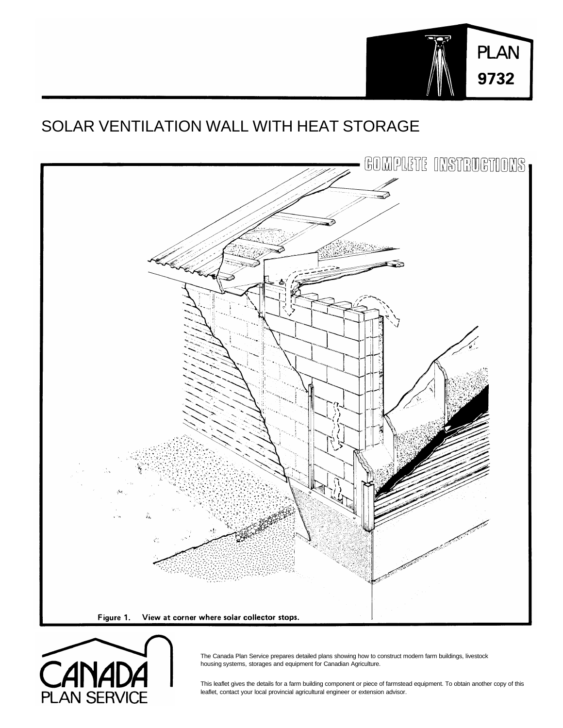

## SOLAR VENTILATION WALL WITH HEAT STORAGE





The Canada Plan Service prepares detailed plans showing how to construct modern farm buildings, livestock housing systems, storages and equipment for Canadian Agriculture.

This leaflet gives the details for a farm building component or piece of farmstead equipment. To obtain another copy of this leaflet, contact your local provincial agricultural engineer or extension advisor.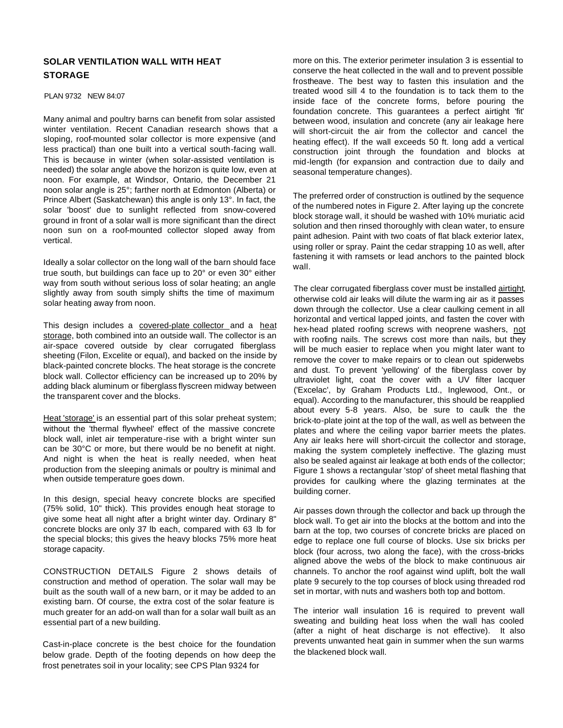## **SOLAR VENTILATION WALL WITH HEAT STORAGE**

## PLAN 9732 NEW 84:07

Many animal and poultry barns can benefit from solar assisted winter ventilation. Recent Canadian research shows that a sloping, roof-mounted solar collector is more expensive (and less practical) than one built into a vertical south-facing wall. This is because in winter (when solar-assisted ventilation is needed) the solar angle above the horizon is quite low, even at noon. For example, at Windsor, Ontario, the December 21 noon solar angle is 25°; farther north at Edmonton (Alberta) or Prince Albert (Saskatchewan) this angle is only 13°. In fact, the solar 'boost' due to sunlight reflected from snow-covered ground in front of a solar wall is more significant than the direct noon sun on a roof-mounted collector sloped away from vertical.

Ideally a solar collector on the long wall of the barn should face true south, but buildings can face up to 20° or even 30° either way from south without serious loss of solar heating; an angle slightly away from south simply shifts the time of maximum solar heating away from noon.

This design includes a covered-plate collector and a heat storage, both combined into an outside wall. The collector is an air-space covered outside by clear corrugated fiberglass sheeting (Filon, Excelite or equal), and backed on the inside by black-painted concrete blocks. The heat storage is the concrete block wall. Collector efficiency can be increased up to 20% by adding black aluminum or fiberglass flyscreen midway between the transparent cover and the blocks.

Heat 'storage' is an essential part of this solar preheat system; without the 'thermal flywheel' effect of the massive concrete block wall, inlet air temperature-rise with a bright winter sun can be 30°C or more, but there would be no benefit at night. And night is when the heat is really needed, when heat production from the sleeping animals or poultry is minimal and when outside temperature goes down.

In this design, special heavy concrete blocks are specified (75% solid, 10" thick). This provides enough heat storage to give some heat all night after a bright winter day. Ordinary 8" concrete blocks are only 37 lb each, compared with 63 lb for the special blocks; this gives the heavy blocks 75% more heat storage capacity.

CONSTRUCTION DETAILS Figure 2 shows details of construction and method of operation. The solar wall may be built as the south wall of a new barn, or it may be added to an existing barn. Of course, the extra cost of the solar feature is much greater for an add-on wall than for a solar wall built as an essential part of a new building.

Cast-in-place concrete is the best choice for the foundation below grade. Depth of the footing depends on how deep the frost penetrates soil in your locality; see CPS Plan 9324 for

more on this. The exterior perimeter insulation 3 is essential to conserve the heat collected in the wall and to prevent possible frostheave. The best way to fasten this insulation and the treated wood sill 4 to the foundation is to tack them to the inside face of the concrete forms, before pouring the foundation concrete. This guarantees a perfect airtight 'fit' between wood, insulation and concrete (any air leakage here will short-circuit the air from the collector and cancel the heating effect). If the wall exceeds 50 ft. long add a vertical construction joint through the foundation and blocks at mid-length (for expansion and contraction due to daily and seasonal temperature changes).

The preferred order of construction is outlined by the sequence of the numbered notes in Figure 2. After laying up the concrete block storage wall, it should be washed with 10% muriatic acid solution and then rinsed thoroughly with clean water, to ensure paint adhesion. Paint with two coats of flat black exterior latex, using roller or spray. Paint the cedar strapping 10 as well, after fastening it with ramsets or lead anchors to the painted block wall.

The clear corrugated fiberglass cover must be installed airtight, otherwise cold air leaks will dilute the warm ing air as it passes down through the collector. Use a clear caulking cement in all horizontal and vertical lapped joints, and fasten the cover with hex-head plated roofing screws with neoprene washers, not with roofing nails. The screws cost more than nails, but they will be much easier to replace when you might later want to remove the cover to make repairs or to clean out spiderwebs and dust. To prevent 'yellowing' of the fiberglass cover by ultraviolet light, coat the cover with a UV filter lacquer ('Excelac', by Graham Products Ltd., Inglewood, Ont., or equal). According to the manufacturer, this should be reapplied about every 5-8 years. Also, be sure to caulk the the brick-to-plate joint at the top of the wall, as well as between the plates and where the ceiling vapor barrier meets the plates. Any air leaks here will short-circuit the collector and storage, making the system completely ineffective. The glazing must also be sealed against air leakage at both ends of the collector; Figure 1 shows a rectangular 'stop' of sheet metal flashing that provides for caulking where the glazing terminates at the building corner.

Air passes down through the collector and back up through the block wall. To get air into the blocks at the bottom and into the barn at the top, two courses of concrete bricks are placed on edge to replace one full course of blocks. Use six bricks per block (four across, two along the face), with the cross-bricks aligned above the webs of the block to make continuous air channels. To anchor the roof against wind uplift, bolt the wall plate 9 securely to the top courses of block using threaded rod set in mortar, with nuts and washers both top and bottom.

The interior wall insulation 16 is required to prevent wall sweating and building heat loss when the wall has cooled (after a night of heat discharge is not effective). It also prevents unwanted heat gain in summer when the sun warms the blackened block wall.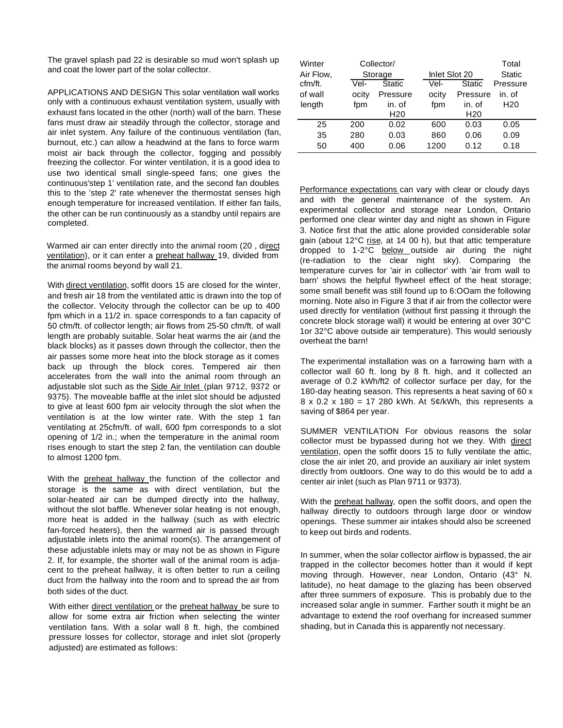The gravel splash pad 22 is desirable so mud won't splash up and coat the lower part of the solar collector.

APPLICATIONS AND DESIGN This solar ventilation wall works only with a continuous exhaust ventilation system, usually with exhaust fans located in the other (north) wall of the barn. These fans must draw air steadily through the collector, storage and air inlet system. Any failure of the continuous ventilation (fan, burnout, etc.) can allow a headwind at the fans to force warm moist air back through the collector, fogging and possibly freezing the collector. For winter ventilation, it is a good idea to use two identical small single-speed fans; one gives the continuous'step 1' ventilation rate, and the second fan doubles this to the 'step 2' rate whenever the thermostat senses high enough temperature for increased ventilation. If either fan fails, the other can be run continuously as a standby until repairs are completed.

Warmed air can enter directly into the animal room (20 , direct ventilation), or it can enter a preheat hallway 19, divided from the animal rooms beyond by wall 21.

With direct ventilation, soffit doors 15 are closed for the winter, and fresh air 18 from the ventilated attic is drawn into the top of the collector. Velocity through the collector can be up to 400 fpm which in a 11/2 in. space corresponds to a fan capacity of 50 cfm/ft. of collector length; air flows from 25-50 cfm/ft. of wall length are probably suitable. Solar heat warms the air (and the black blocks) as it passes down through the collector, then the air passes some more heat into the block storage as it comes back up through the block cores. Tempered air then accelerates from the wall into the animal room through an adjustable slot such as the Side Air Inlet (plan 9712, 9372 or 9375). The moveable baffle at the inlet slot should be adjusted to give at least 600 fpm air velocity through the slot when the ventilation is at the low winter rate. With the step 1 fan ventilating at 25cfm/ft, of wall, 600 fpm corresponds to a slot opening of 1/2 in.; when the temperature in the animal room rises enough to start the step 2 fan, the ventilation can double to almost 1200 fpm.

With the preheat hallway the function of the collector and storage is the same as with direct ventilation, but the solar-heated air can be dumped directly into the hallway, without the slot baffle. Whenever solar heating is not enough, more heat is added in the hallway (such as with electric fan-forced heaters), then the warmed air is passed through adjustable inlets into the animal room(s). The arrangement of these adjustable inlets may or may not be as shown in Figure 2. If, for example, the shorter wall of the animal room is adjacent to the preheat hallway, it is often better to run a ceiling duct from the hallway into the room and to spread the air from both sides of the duct.

With either direct ventilation or the preheat hallway be sure to allow for some extra air friction when selecting the winter ventilation fans. With a solar wall 8 ft. high, the combined pressure losses for collector, storage and inlet slot (properly adjusted) are estimated as follows:

| Winter    |         | Collector/      |               |                 | Total           |
|-----------|---------|-----------------|---------------|-----------------|-----------------|
| Air Flow, | Storage |                 | Inlet Slot 20 |                 | <b>Static</b>   |
| cfm/ft.   | Vel-    | <b>Static</b>   | Vel-          | <b>Static</b>   | Pressure        |
| of wall   | ocity   | Pressure        | ocity         | Pressure        | in. of          |
| length    | fpm     | in. of          | fpm           | in. of          | H <sub>20</sub> |
|           |         | H <sub>20</sub> |               | H <sub>20</sub> |                 |
| 25        | 200     | 0.02            | 600           | 0.03            | 0.05            |
| 35        | 280     | 0.03            | 860           | 0.06            | 0.09            |
| 50        | 400     | 0.06            | 1200          | 0.12            | 0.18            |

Performance expectations can vary with clear or cloudy days and with the general maintenance of the system. An experimental collector and storage near London, Ontario performed one clear winter day and night as shown in Figure 3. Notice first that the attic alone provided considerable solar gain (about 12°C rise, at 14 00 h), but that attic temperature dropped to 1-2°C below outside air during the night (re-radiation to the clear night sky). Comparing the temperature curves for 'air in collector' with 'air from wall to barn' shows the helpful flywheel effect of the heat storage; some small benefit was still found up to 6:OOam the following morning. Note also in Figure 3 that if air from the collector were used directly for ventilation (without first passing it through the concrete block storage wall) it would be entering at over 30°C 1or 32°C above outside air temperature). This would seriously overheat the barn!

The experimental installation was on a farrowing barn with a collector wall 60 ft. long by 8 ft. high, and it collected an average of 0.2 kWh/ft2 of collector surface per day, for the 180-day heating season. This represents a heat saving of 60 x 8 x 0.2 x 180 = 17 280 kWh. At 5¢/kWh, this represents a saving of \$864 per year.

SUMMER VENTILATION For obvious reasons the solar collector must be bypassed during hot we they. With direct ventilation, open the soffit doors 15 to fully ventilate the attic, close the air inlet 20, and provide an auxiliary air inlet system directly from outdoors. One way to do this would be to add a center air inlet (such as Plan 9711 or 9373).

With the preheat hallway, open the soffit doors, and open the hallway directly to outdoors through large door or window openings. These summer air intakes should also be screened to keep out birds and rodents.

In summer, when the solar collector airflow is bypassed, the air trapped in the collector becomes hotter than it would if kept moving through. However, near London, Ontario (43° N. latitude), no heat damage to the glazing has been observed after three summers of exposure. This is probably due to the increased solar angle in summer. Farther south it might be an advantage to extend the roof overhang for increased summer shading, but in Canada this is apparently not necessary.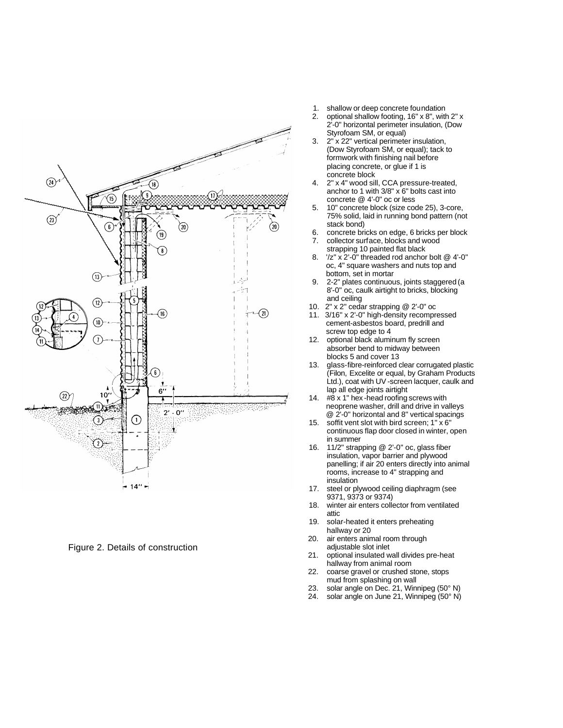

Figure 2. Details of construction

- 
- 1. shallow or deep concrete foundation<br>2. optional shallow footing, 16" x 8", with 2. optional shallow footing, 16" x 8", with 2" x 2'-0" horizontal perimeter insulation, (Dow Styrofoam SM, or equal)
- 3. 2" x 22" vertical perimeter insulation, (Dow Styrofoam SM, or equal); tack to formwork with finishing nail before placing concrete, or glue if 1 is concrete block
- 4. 2" x 4" wood sill, CCA pressure-treated, anchor to 1 with  $3/8" \times 6"$  bolts cast into concrete @ 4'-0" oc or less
- 5. 10" concrete block (size code 25), 3-core, 75% solid, laid in running bond pattern (not stack bond)
- 6. concrete bricks on edge, 6 bricks per block
- collector surface, blocks and wood strapping 10 painted flat black
- 8. '/z" x 2'-0" threaded rod anchor bolt @ 4'-0" oc, 4" square washers and nuts top and bottom, set in mortar
- 9. 2-2" plates continuous, joints staggered (a 8'-0" oc, caulk airtight to bricks, blocking and ceiling
- 10. 2" x 2" cedar strapping @ 2'-0" oc
- 11. 3/16" x 2'-0" high-density recompressed cement-asbestos board, predrill and screw top edge to 4
- 12. optional black aluminum fly screen absorber bend to midway between blocks 5 and cover 13
- 13. glass -fibre-reinforced clear corrugated plastic (Filon, Excelite or equal, by Graham Products Ltd.), coat with UV-screen lacquer, caulk and lap all edge joints airtight
- 14. #8 x 1" hex -head roofing screws with neoprene washer, drill and drive in valleys @ 2'-0" horizontal and 8" vertical spacings
- 15. soffit vent slot with bird screen;  $1" \times 6"$ continuous flap door closed in winter, open in summer
- 16. 11/2" strapping @ 2'-0" oc, glass fiber insulation, vapor barrier and plywood panelling; if air 20 enters directly into animal rooms, increase to 4" strapping and insulation
- 17. steel or plywood ceiling diaphragm (see 9371, 9373 or 9374)
- 18. winter air enters collector from ventilated attic
- 19. solar-heated it enters preheating hallway or 20
- 20. air enters animal room through adjustable slot inlet
- 21. optional insulated wall divides pre-heat hallway from animal room
- 22. coarse gravel or crushed stone, stops mud from splashing on wall
- 23. solar angle on Dec. 21, Winnipeg (50° N)<br>24. solar angle on June 21, Winnipeg (50° N)
- solar angle on June 21, Winnipeg (50° N)